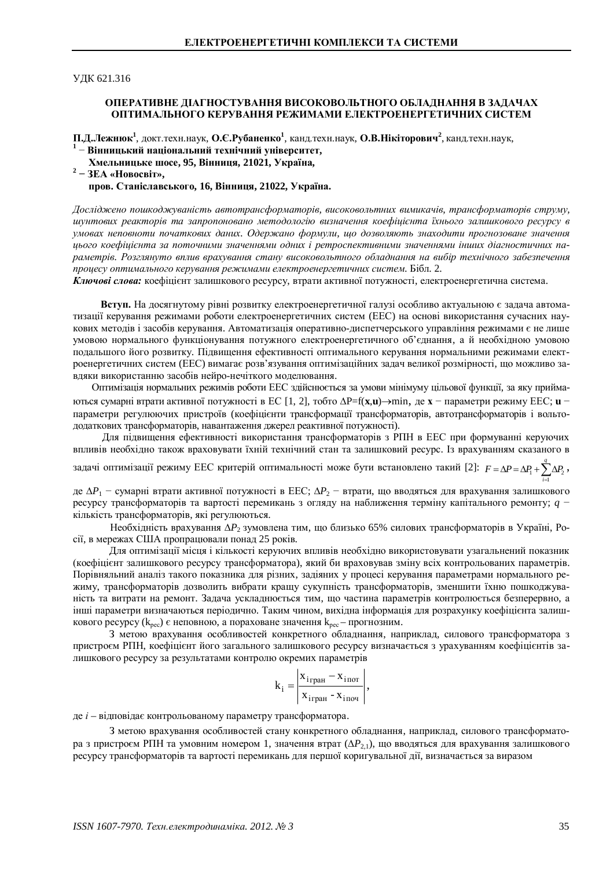**УДК 621.316** 

## ОПЕРАТИВНЕ ЛІАГНОСТУВАННЯ ВИСОКОВОЛЬТНОГО ОБЛАЛНАННЯ В ЗАЛАЧАХ ОПТИМАЛЬНОГО КЕРУВАННЯ РЕЖИМАМИ ЕЛЕКТРОЕНЕРГЕТИЧНИХ СИСТЕМ

П.Д.Лежнюк<sup>1</sup>, докт.техн.наук, О.Є.Рубаненко<sup>1</sup>, канд.техн.наук, О.В.Нікіторович<sup>2</sup>, канд.техн.наук,

- <sup>1</sup> Вінницький національний технічний університет,  $X$ мельницьке шосе, 95, Вінниця, 21021, Україна,
- 2 ЗЕА «Новосвіт»,

пров. Станіславського, 16, Вінниця, 21022, Україна.

*Ⱦɨɫɥɿɞɠɟɧɨɩɨɲɤɨɞɠɭɜɚɧɿɫɬɶɚɜɬɨɬɪɚɧɫɮɨɪɦɚɬɨɪɿɜ, ɜɢɫɨɤɨɜɨɥɶɬɧɢɯɜɢɦɢɤɚɱɿɜ, ɬɪɚɧɫɮɨɪɦɚɬɨɪɿɜɫɬɪɭɦɭ, ɲɭɧɬɨɜɢɯ ɪɟɚɤɬɨɪɿɜ ɬɚ ɡɚɩɪɨɩɨɧɨɜɚɧɨ ɦɟɬɨɞɨɥɨɝɿɸ ɜɢɡɧɚɱɟɧɧɹ ɤɨɟɮɿɰɿɽɧɬɚ ʀɯɧɶɨɝɨ ɡɚɥɢɲɤɨɜɨɝɨ ɪɟɫɭɪɫɭ ɜ* үмовах неповноти початкових даних. Одержано формули, що дозволяють знаходити прогнозоване значення *ɰɶɨɝɨɤɨɟɮɿɰɿɽɧɬɚ ɡɚɩɨɬɨɱɧɢɦɢɡɧɚɱɟɧɧɹɦɢɨɞɧɢɯɿ ɪɟɬɪɨɫɩɟɤɬɢɜɧɢɦɢ ɡɧɚɱɟɧɧɹɦɢɿɧɲɢɯ ɞɿɚɝɧɨɫɬɢɱɧɢɯɩɚ*раметрів. Розглянуто вплив врахування стану високовольтного обладнання на вибір технічного забезпечення проиесу оптимального керування режимами електроенергетичних систем. Бібл. 2.

Ключові слова: коефіцієнт залишкового ресурсу, втрати активної потужності, електроенергетична система.

Вступ. На досягнутому рівні розвитку електроенергетичної галузі особливо актуальною є задача автоматизації керування режимами роботи електроенергетичних систем (ЕЕС) на основі використання сучасних наукових методів і засобів керування. Автоматизація оперативно-диспетчерського управління режимами є не лише умовою нормального функціонування потужного електроенергетичного об'єднання, а й необхідною умовою подальшого його розвитку. Підвищення ефективності оптимального керування нормальними режимами електроенергетичних систем (ЕЕС) вимагає розв'язування оптимізаційних задач великої розмірності, що можливо завдяки використанню засобів нейро-нечіткого моделювання.

Оптимізація нормальних режимів роботи ЕЕС здійснюється за умови мінімуму цільової функції, за яку приймаються сумарні втрати активної потужності в ЕС [1, 2], тобто  $\Delta P=f(\mathbf{x}, \mathbf{u})\rightarrow$ тіп, де  $\mathbf{x}$  – параметри режиму ЕЕС;  $\mathbf{u}$  – параметри регулюючих пристроїв (коефіцієнти трансформації трансформаторів, автотрансформаторів і вольтододаткових трансформаторів, навантаження джерел реактивної потужності).

Для підвищення ефективності використання трансформаторів з РПН в ЕЕС при формуванні керуючих впливів необхідно також враховувати їхній технічний стан та залишковий ресурс. Із врахуванням сказаного в

задачі оптимізації режиму ЕЕС критерій оптимальності може бути встановлено такий [2]:  $F = \Delta P = \Delta P_1 + \sum \Delta P_2$ 1  $F = \Delta P = \Delta P_1 + \sum^q \Delta P_2$ , *i* E

де  $\Delta P_1$  - сумарні втрати активної потужності в ЕЕС;  $\Delta P_2$  - втрати, що вводяться для врахування залишкового ресурсу трансформаторів та вартості перемикань з огляду на наближення терміну капітального ремонту; *q* кількість трансформаторів, які регулюються.

Необхідність врахування  $\Delta P_2$  зумовлена тим, що близько 65% силових трансформаторів в Україні, Роciï, в мережах США пропрацювали понад 25 років.

Для оптимізації місця і кількості керуючих впливів необхідно використовувати узагальнений показник (коефінієнт залишкового ресурсу трансформатора), який би враховував зміну всіх контрольованих параметрів. Порівняльний аналіз такого показника для різних, задіяних у процесі керування параметрами нормального режиму, трансформаторів дозволить вибрати кращу сукупність трансформаторів, зменшити їхню пошкоджуваність та витрати на ремонт. Задача ускладнюється тим, що частина параметрів контролюється безперервно, а інші параметри визначаються періодично. Таким чином, вихідна інформація для розрахунку коефіцієнта залишкового ресурсу ( $k_{\text{rec}}$ ) є неповною, а пораховане значення  $k_{\text{rec}}$  – прогнозним.

З метою врахування особливостей конкретного обладнання, наприклад, силового трансформатора з пристроєм РПН, коефіцієнт його загального залишкового ресурсу визначається з урахуванням коефіцієнтів залишкового ресурсу за результатами контролю окремих параметрів

$$
k_{i} = \left| \frac{x_{i_{\text{TPAH}}} - x_{i_{\text{NOT}}}}{x_{i_{\text{TPAH}}} - x_{i_{\text{IDOT}}}} \right|,
$$

де *і* – відповідає контрольованому параметру трансформатора.

З метою врахування особливостей стану конкретного обладнання, наприклад, силового трансформатора з пристроєм РПН та умовним номером 1, значення втрат ( $\Delta P_{2,1}$ ), що вводяться для врахування залишкового ресурсу трансформаторів та вартості перемикань для першої коригувальної дії, визначається за виразом